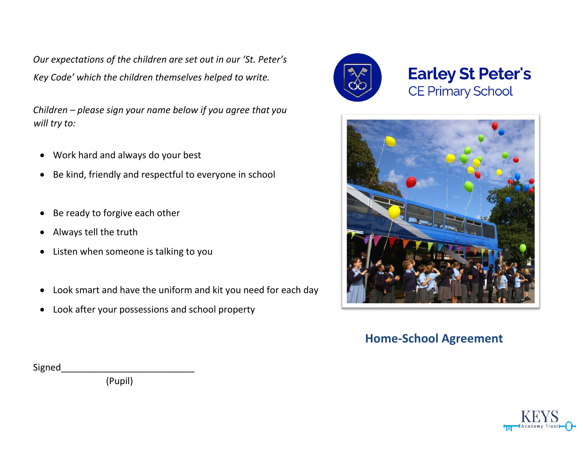*Our expectations of the children are set out in our 'St. Peter's Key Code' which the children themselves helped to write.* 

*Children – please sign your name below if you agree that you will try to:*

- Work hard and always do your best
- Be kind, friendly and respectful to everyone in school
- Be ready to forgive each other
- Always tell the truth
- Listen when someone is talking to you
- Look smart and have the uniform and kit you need for each day
- Look after your possessions and school property



**Earley St Peter's CE Primary School** 



## **Home-School Agreement**

Signed

(Pupil)